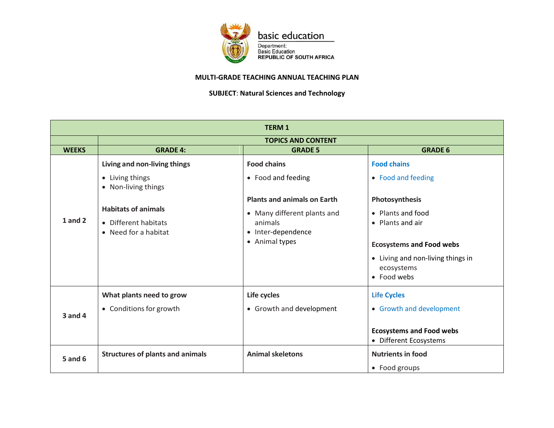

basic education

Department:<br>Basic Education<br>REPUBLIC OF SOUTH AFRICA

## **MULTI-GRADE TEACHING ANNUAL TEACHING PLAN**

**SUBJECT**: **Natural Sciences and Technology**

| <b>TERM1</b>   |                                         |                                    |                                   |
|----------------|-----------------------------------------|------------------------------------|-----------------------------------|
|                | <b>TOPICS AND CONTENT</b>               |                                    |                                   |
| <b>WEEKS</b>   | <b>GRADE 4:</b>                         | <b>GRADE 5</b>                     | <b>GRADE 6</b>                    |
| $1$ and $2$    | Living and non-living things            | <b>Food chains</b>                 | <b>Food chains</b>                |
|                | • Living things<br>• Non-living things  | • Food and feeding                 | • Food and feeding                |
|                |                                         | <b>Plants and animals on Earth</b> | Photosynthesis                    |
|                | <b>Habitats of animals</b>              | • Many different plants and        | • Plants and food                 |
|                | • Different habitats                    | animals                            | • Plants and air                  |
|                | • Need for a habitat                    | • Inter-dependence                 |                                   |
|                |                                         | • Animal types                     | <b>Ecosystems and Food webs</b>   |
|                |                                         |                                    | • Living and non-living things in |
|                |                                         |                                    | ecosystems                        |
|                |                                         |                                    | • Food webs                       |
| $3$ and $4$    | What plants need to grow                | Life cycles                        | <b>Life Cycles</b>                |
|                | • Conditions for growth                 | • Growth and development           | • Growth and development          |
|                |                                         |                                    | <b>Ecosystems and Food webs</b>   |
|                |                                         |                                    | • Different Ecosystems            |
| <b>5 and 6</b> | <b>Structures of plants and animals</b> | <b>Animal skeletons</b>            | <b>Nutrients in food</b>          |
|                |                                         |                                    | • Food groups                     |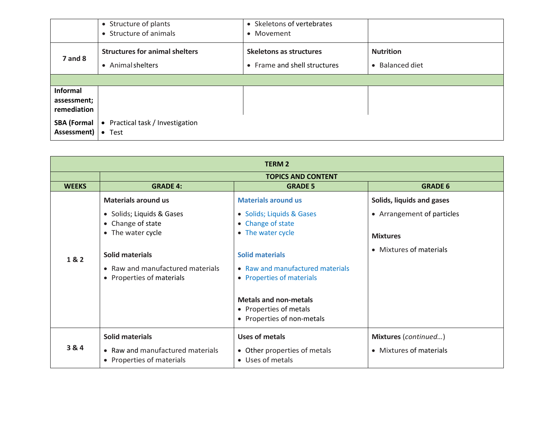|                                               | • Structure of plants<br>• Structure of animals            | • Skeletons of vertebrates<br>• Movement                |                                                |
|-----------------------------------------------|------------------------------------------------------------|---------------------------------------------------------|------------------------------------------------|
| $7$ and $8$                                   | <b>Structures for animal shelters</b><br>• Animal shelters | Skeletons as structures<br>• Frame and shell structures | <b>Nutrition</b><br>Balanced diet<br>$\bullet$ |
|                                               |                                                            |                                                         |                                                |
| <b>Informal</b><br>assessment;<br>remediation |                                                            |                                                         |                                                |
| SBA (Formal<br>Assessment)                    | • Practical task / Investigation<br>$\bullet$ Test         |                                                         |                                                |

| <b>TERM 2</b> |                                  |                                                                                      |                            |
|---------------|----------------------------------|--------------------------------------------------------------------------------------|----------------------------|
|               | <b>TOPICS AND CONTENT</b>        |                                                                                      |                            |
| <b>WEEKS</b>  | <b>GRADE 4:</b>                  | <b>GRADE 5</b>                                                                       | <b>GRADE 6</b>             |
|               | <b>Materials around us</b>       | <b>Materials around us</b>                                                           | Solids, liquids and gases  |
| 1&2           | • Solids; Liquids & Gases        | • Solids; Liquids & Gases                                                            | • Arrangement of particles |
|               | • Change of state                | • Change of state                                                                    |                            |
|               | • The water cycle                | • The water cycle                                                                    | <b>Mixtures</b>            |
|               | <b>Solid materials</b>           | <b>Solid materials</b>                                                               | • Mixtures of materials    |
|               | • Raw and manufactured materials | • Raw and manufactured materials                                                     |                            |
|               | • Properties of materials        | • Properties of materials                                                            |                            |
|               |                                  | <b>Metals and non-metals</b><br>• Properties of metals<br>• Properties of non-metals |                            |
| 3&4           | Solid materials                  | Uses of metals                                                                       | Mixtures (continued)       |
|               | • Raw and manufactured materials | • Other properties of metals                                                         | • Mixtures of materials    |
|               | • Properties of materials        | • Uses of metals                                                                     |                            |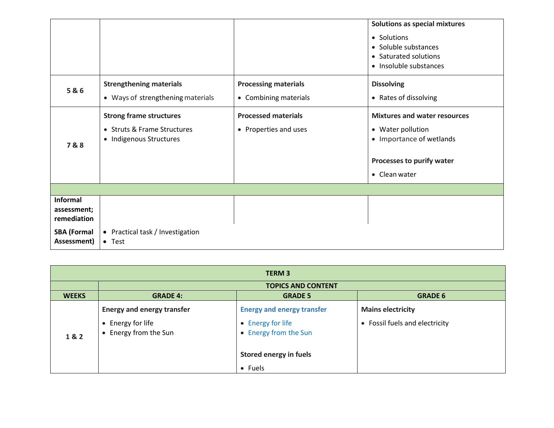|                            |                                   |                             | Solutions as special mixtures                   |
|----------------------------|-----------------------------------|-----------------------------|-------------------------------------------------|
|                            |                                   |                             | • Solutions<br>• Soluble substances             |
|                            |                                   |                             | • Saturated solutions<br>• Insoluble substances |
| 5&6                        | <b>Strengthening materials</b>    | <b>Processing materials</b> | <b>Dissolving</b>                               |
|                            | • Ways of strengthening materials | • Combining materials       | • Rates of dissolving                           |
|                            | <b>Strong frame structures</b>    | <b>Processed materials</b>  | <b>Mixtures and water resources</b>             |
| 7&8                        | • Struts & Frame Structures       | • Properties and uses       | • Water pollution                               |
|                            | • Indigenous Structures           |                             | • Importance of wetlands                        |
|                            |                                   |                             | Processes to purify water                       |
|                            |                                   |                             | • Clean water                                   |
|                            |                                   |                             |                                                 |
| Informal                   |                                   |                             |                                                 |
| assessment;<br>remediation |                                   |                             |                                                 |
| <b>SBA (Formal</b>         | • Practical task / Investigation  |                             |                                                 |
| Assessment)                | $\bullet$ Test                    |                             |                                                 |

| <b>TERM 3</b> |                                            |                                            |                                           |
|---------------|--------------------------------------------|--------------------------------------------|-------------------------------------------|
|               | <b>TOPICS AND CONTENT</b>                  |                                            |                                           |
| <b>WEEKS</b>  | <b>GRADE 4:</b>                            | <b>GRADE 5</b>                             | <b>GRADE 6</b>                            |
|               | <b>Energy and energy transfer</b>          | <b>Energy and energy transfer</b>          | <b>Mains electricity</b>                  |
| 1&2           | • Energy for life<br>• Energy from the Sun | • Energy for life<br>• Energy from the Sun | Fossil fuels and electricity<br>$\bullet$ |
|               |                                            | <b>Stored energy in fuels</b>              |                                           |
|               |                                            | • Fuels                                    |                                           |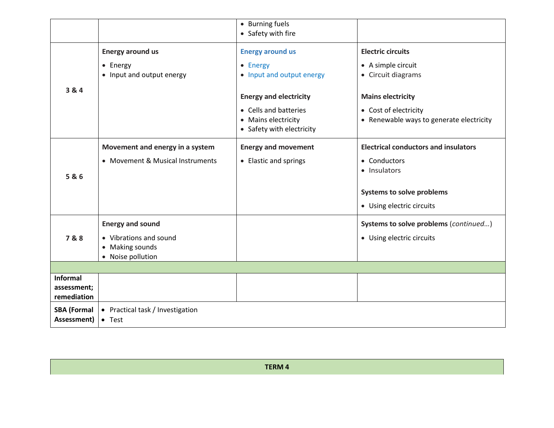|                                               |                                                    | • Burning fuels<br>• Safety with fire                                     |                                                                   |
|-----------------------------------------------|----------------------------------------------------|---------------------------------------------------------------------------|-------------------------------------------------------------------|
|                                               | <b>Energy around us</b>                            | <b>Energy around us</b>                                                   | <b>Electric circuits</b>                                          |
|                                               | • Energy<br>• Input and output energy              | • Energy<br>• Input and output energy                                     | • A simple circuit<br>• Circuit diagrams                          |
| 3 & 4                                         |                                                    | <b>Energy and electricity</b>                                             | <b>Mains electricity</b>                                          |
|                                               |                                                    | • Cells and batteries<br>• Mains electricity<br>• Safety with electricity | • Cost of electricity<br>• Renewable ways to generate electricity |
|                                               | Movement and energy in a system                    | <b>Energy and movement</b>                                                | <b>Electrical conductors and insulators</b>                       |
|                                               | • Movement & Musical Instruments                   | • Elastic and springs                                                     | • Conductors<br>• Insulators                                      |
| 5&6                                           |                                                    |                                                                           |                                                                   |
|                                               |                                                    |                                                                           | <b>Systems to solve problems</b>                                  |
|                                               |                                                    |                                                                           | • Using electric circuits                                         |
|                                               | <b>Energy and sound</b>                            |                                                                           | Systems to solve problems (continued)                             |
| 7&8                                           | • Vibrations and sound                             |                                                                           | • Using electric circuits                                         |
|                                               | • Making sounds<br>• Noise pollution               |                                                                           |                                                                   |
|                                               |                                                    |                                                                           |                                                                   |
| <b>Informal</b><br>assessment;<br>remediation |                                                    |                                                                           |                                                                   |
| <b>SBA (Formal</b><br>Assessment)             | • Practical task / Investigation<br>$\bullet$ Test |                                                                           |                                                                   |

**TERM 4**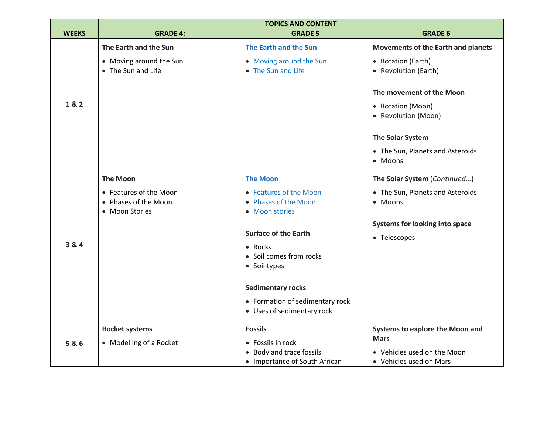|              | <b>TOPICS AND CONTENT</b>                                                           |                                                                                                                                                                                                                                                                               |                                                                                                                                                                                                                             |
|--------------|-------------------------------------------------------------------------------------|-------------------------------------------------------------------------------------------------------------------------------------------------------------------------------------------------------------------------------------------------------------------------------|-----------------------------------------------------------------------------------------------------------------------------------------------------------------------------------------------------------------------------|
| <b>WEEKS</b> | <b>GRADE 4:</b>                                                                     | <b>GRADE 5</b>                                                                                                                                                                                                                                                                | <b>GRADE 6</b>                                                                                                                                                                                                              |
| 1&2          | The Earth and the Sun<br>• Moving around the Sun<br>• The Sun and Life              | The Earth and the Sun<br>• Moving around the Sun<br>• The Sun and Life                                                                                                                                                                                                        | Movements of the Earth and planets<br>• Rotation (Earth)<br>• Revolution (Earth)<br>The movement of the Moon<br>• Rotation (Moon)<br>• Revolution (Moon)<br>The Solar System<br>• The Sun, Planets and Asteroids<br>• Moons |
| 3 & 4        | <b>The Moon</b><br>• Features of the Moon<br>• Phases of the Moon<br>• Moon Stories | <b>The Moon</b><br>• Features of the Moon<br>• Phases of the Moon<br>• Moon stories<br><b>Surface of the Earth</b><br>$\bullet$ Rocks<br>• Soil comes from rocks<br>• Soil types<br><b>Sedimentary rocks</b><br>• Formation of sedimentary rock<br>• Uses of sedimentary rock | The Solar System (Continued)<br>• The Sun, Planets and Asteroids<br>• Moons<br><b>Systems for looking into space</b><br>• Telescopes                                                                                        |
| 5&6          | <b>Rocket systems</b><br>• Modelling of a Rocket                                    | <b>Fossils</b><br>• Fossils in rock<br>• Body and trace fossils<br>• Importance of South African                                                                                                                                                                              | Systems to explore the Moon and<br><b>Mars</b><br>• Vehicles used on the Moon<br>• Vehicles used on Mars                                                                                                                    |